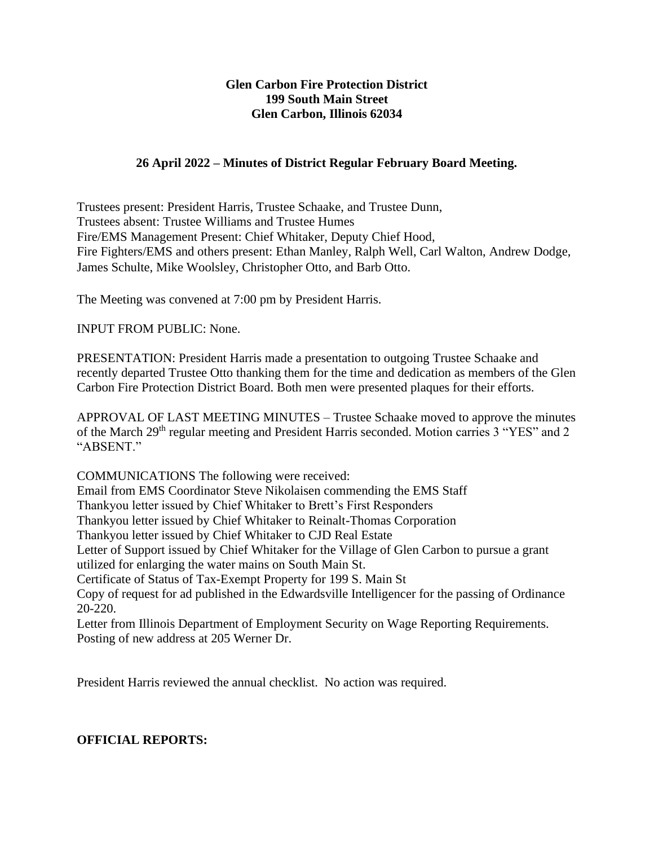## **Glen Carbon Fire Protection District 199 South Main Street Glen Carbon, Illinois 62034**

# **26 April 2022 – Minutes of District Regular February Board Meeting.**

Trustees present: President Harris, Trustee Schaake, and Trustee Dunn, Trustees absent: Trustee Williams and Trustee Humes Fire/EMS Management Present: Chief Whitaker, Deputy Chief Hood, Fire Fighters/EMS and others present: Ethan Manley, Ralph Well, Carl Walton, Andrew Dodge, James Schulte, Mike Woolsley, Christopher Otto, and Barb Otto.

The Meeting was convened at 7:00 pm by President Harris.

INPUT FROM PUBLIC: None.

PRESENTATION: President Harris made a presentation to outgoing Trustee Schaake and recently departed Trustee Otto thanking them for the time and dedication as members of the Glen Carbon Fire Protection District Board. Both men were presented plaques for their efforts.

APPROVAL OF LAST MEETING MINUTES – Trustee Schaake moved to approve the minutes of the March 29<sup>th</sup> regular meeting and President Harris seconded. Motion carries 3 "YES" and 2 "ABSENT."

COMMUNICATIONS The following were received:

Email from EMS Coordinator Steve Nikolaisen commending the EMS Staff

Thankyou letter issued by Chief Whitaker to Brett's First Responders

Thankyou letter issued by Chief Whitaker to Reinalt-Thomas Corporation

Thankyou letter issued by Chief Whitaker to CJD Real Estate

Letter of Support issued by Chief Whitaker for the Village of Glen Carbon to pursue a grant utilized for enlarging the water mains on South Main St.

Certificate of Status of Tax-Exempt Property for 199 S. Main St

Copy of request for ad published in the Edwardsville Intelligencer for the passing of Ordinance 20-220.

Letter from Illinois Department of Employment Security on Wage Reporting Requirements. Posting of new address at 205 Werner Dr.

President Harris reviewed the annual checklist. No action was required.

## **OFFICIAL REPORTS:**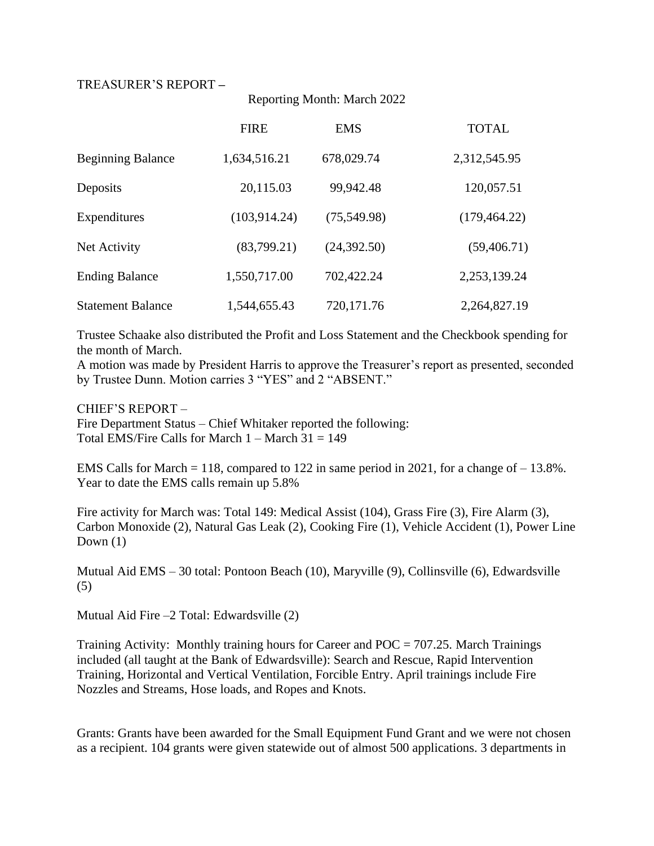#### TREASURER'S REPORT **–**

### Reporting Month: March 2022

|                          | <b>FIRE</b>   | <b>EMS</b>   | TOTAL         |
|--------------------------|---------------|--------------|---------------|
| <b>Beginning Balance</b> | 1,634,516.21  | 678,029.74   | 2,312,545.95  |
| Deposits                 | 20,115.03     | 99,942.48    | 120,057.51    |
| Expenditures             | (103, 914.24) | (75,549.98)  | (179, 464.22) |
| Net Activity             | (83,799.21)   | (24, 392.50) | (59, 406.71)  |
| <b>Ending Balance</b>    | 1,550,717.00  | 702,422.24   | 2,253,139.24  |
| <b>Statement Balance</b> | 1,544,655.43  | 720,171.76   | 2,264,827.19  |

Trustee Schaake also distributed the Profit and Loss Statement and the Checkbook spending for the month of March.

A motion was made by President Harris to approve the Treasurer's report as presented, seconded by Trustee Dunn. Motion carries 3 "YES" and 2 "ABSENT."

CHIEF'S REPORT – Fire Department Status – Chief Whitaker reported the following: Total EMS/Fire Calls for March  $1 -$  March  $31 = 149$ 

EMS Calls for March  $= 118$ , compared to 122 in same period in 2021, for a change of  $- 13.8\%$ . Year to date the EMS calls remain up 5.8%

Fire activity for March was: Total 149: Medical Assist (104), Grass Fire (3), Fire Alarm (3), Carbon Monoxide (2), Natural Gas Leak (2), Cooking Fire (1), Vehicle Accident (1), Power Line Down  $(1)$ 

Mutual Aid EMS – 30 total: Pontoon Beach (10), Maryville (9), Collinsville (6), Edwardsville (5)

Mutual Aid Fire –2 Total: Edwardsville (2)

Training Activity: Monthly training hours for Career and POC = 707.25. March Trainings included (all taught at the Bank of Edwardsville): Search and Rescue, Rapid Intervention Training, Horizontal and Vertical Ventilation, Forcible Entry. April trainings include Fire Nozzles and Streams, Hose loads, and Ropes and Knots.

Grants: Grants have been awarded for the Small Equipment Fund Grant and we were not chosen as a recipient. 104 grants were given statewide out of almost 500 applications. 3 departments in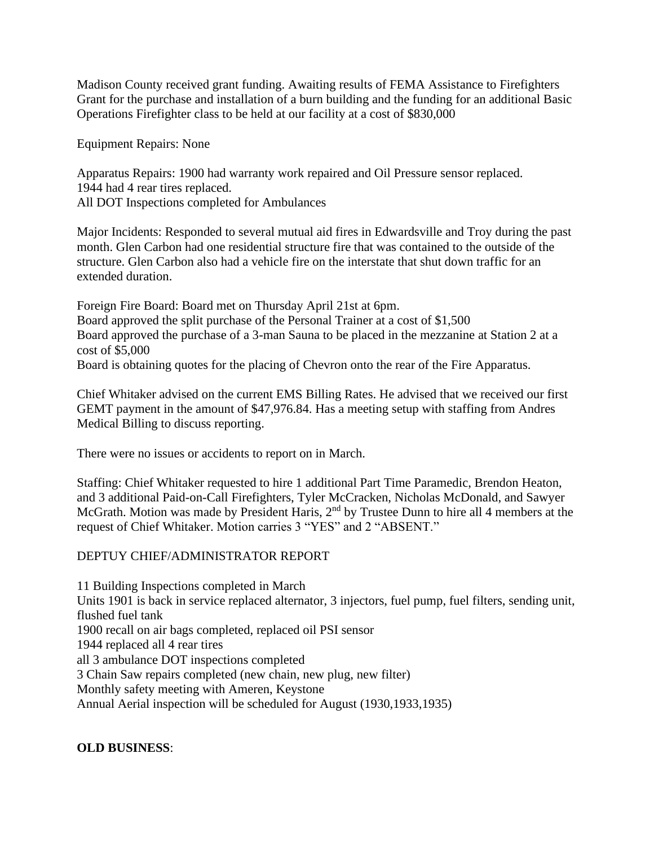Madison County received grant funding. Awaiting results of FEMA Assistance to Firefighters Grant for the purchase and installation of a burn building and the funding for an additional Basic Operations Firefighter class to be held at our facility at a cost of \$830,000

Equipment Repairs: None

Apparatus Repairs: 1900 had warranty work repaired and Oil Pressure sensor replaced. 1944 had 4 rear tires replaced. All DOT Inspections completed for Ambulances

Major Incidents: Responded to several mutual aid fires in Edwardsville and Troy during the past month. Glen Carbon had one residential structure fire that was contained to the outside of the structure. Glen Carbon also had a vehicle fire on the interstate that shut down traffic for an extended duration.

Foreign Fire Board: Board met on Thursday April 21st at 6pm. Board approved the split purchase of the Personal Trainer at a cost of \$1,500 Board approved the purchase of a 3-man Sauna to be placed in the mezzanine at Station 2 at a cost of \$5,000 Board is obtaining quotes for the placing of Chevron onto the rear of the Fire Apparatus.

Chief Whitaker advised on the current EMS Billing Rates. He advised that we received our first GEMT payment in the amount of \$47,976.84. Has a meeting setup with staffing from Andres Medical Billing to discuss reporting.

There were no issues or accidents to report on in March.

Staffing: Chief Whitaker requested to hire 1 additional Part Time Paramedic, Brendon Heaton, and 3 additional Paid-on-Call Firefighters, Tyler McCracken, Nicholas McDonald, and Sawyer McGrath. Motion was made by President Haris, 2nd by Trustee Dunn to hire all 4 members at the request of Chief Whitaker. Motion carries 3 "YES" and 2 "ABSENT."

## DEPTUY CHIEF/ADMINISTRATOR REPORT

11 Building Inspections completed in March Units 1901 is back in service replaced alternator, 3 injectors, fuel pump, fuel filters, sending unit, flushed fuel tank 1900 recall on air bags completed, replaced oil PSI sensor 1944 replaced all 4 rear tires all 3 ambulance DOT inspections completed 3 Chain Saw repairs completed (new chain, new plug, new filter) Monthly safety meeting with Ameren, Keystone Annual Aerial inspection will be scheduled for August (1930,1933,1935)

### **OLD BUSINESS**: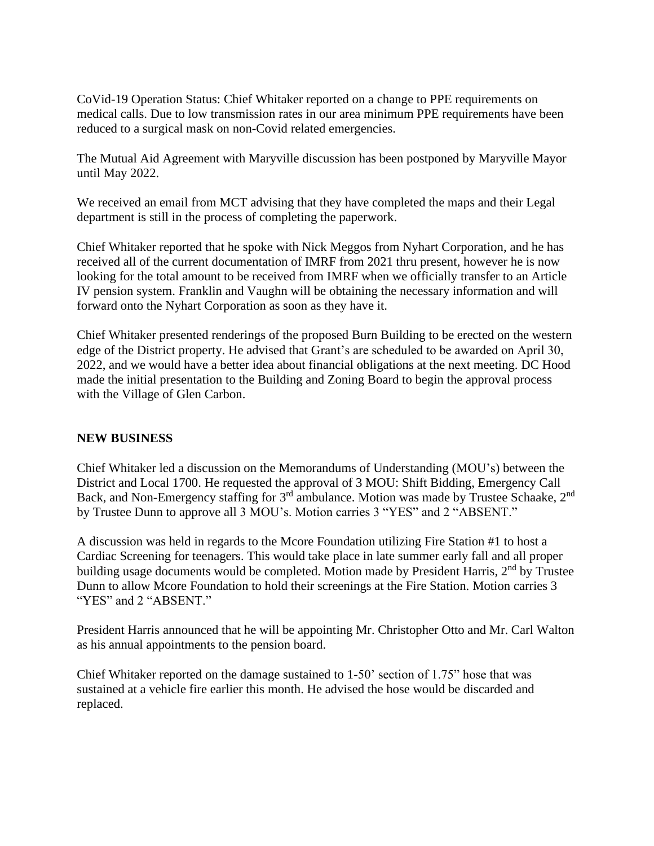CoVid-19 Operation Status: Chief Whitaker reported on a change to PPE requirements on medical calls. Due to low transmission rates in our area minimum PPE requirements have been reduced to a surgical mask on non-Covid related emergencies.

The Mutual Aid Agreement with Maryville discussion has been postponed by Maryville Mayor until May 2022.

We received an email from MCT advising that they have completed the maps and their Legal department is still in the process of completing the paperwork.

Chief Whitaker reported that he spoke with Nick Meggos from Nyhart Corporation, and he has received all of the current documentation of IMRF from 2021 thru present, however he is now looking for the total amount to be received from IMRF when we officially transfer to an Article IV pension system. Franklin and Vaughn will be obtaining the necessary information and will forward onto the Nyhart Corporation as soon as they have it.

Chief Whitaker presented renderings of the proposed Burn Building to be erected on the western edge of the District property. He advised that Grant's are scheduled to be awarded on April 30, 2022, and we would have a better idea about financial obligations at the next meeting. DC Hood made the initial presentation to the Building and Zoning Board to begin the approval process with the Village of Glen Carbon.

## **NEW BUSINESS**

Chief Whitaker led a discussion on the Memorandums of Understanding (MOU's) between the District and Local 1700. He requested the approval of 3 MOU: Shift Bidding, Emergency Call Back, and Non-Emergency staffing for 3<sup>rd</sup> ambulance. Motion was made by Trustee Schaake, 2<sup>nd</sup> by Trustee Dunn to approve all 3 MOU's. Motion carries 3 "YES" and 2 "ABSENT."

A discussion was held in regards to the Mcore Foundation utilizing Fire Station #1 to host a Cardiac Screening for teenagers. This would take place in late summer early fall and all proper building usage documents would be completed. Motion made by President Harris, 2<sup>nd</sup> by Trustee Dunn to allow Mcore Foundation to hold their screenings at the Fire Station. Motion carries 3 "YES" and 2 "ABSENT."

President Harris announced that he will be appointing Mr. Christopher Otto and Mr. Carl Walton as his annual appointments to the pension board.

Chief Whitaker reported on the damage sustained to 1-50' section of 1.75" hose that was sustained at a vehicle fire earlier this month. He advised the hose would be discarded and replaced.